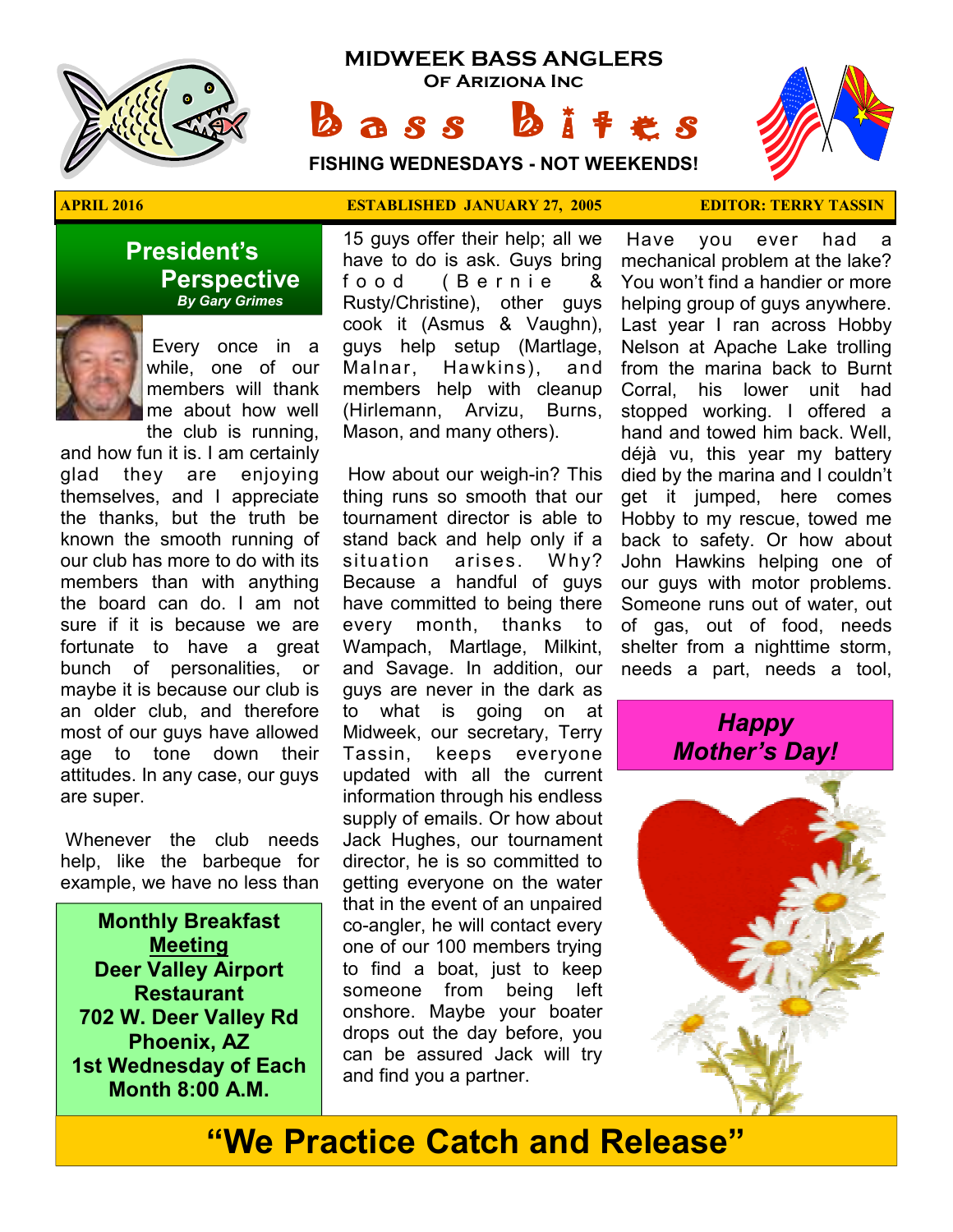

## **MIDWEEK BASS ANGLERS Of Ariziona Inc**

**a** s s

**FISHING WEDNESDAYS - NOT WEEKENDS!**



#### **President's Perspective**   *By Gary Grimes*



 Every once in a while, one of our members will thank me about how well the club is running,

and how fun it is. I am certainly glad they are enjoying themselves, and I appreciate the thanks, but the truth be known the smooth running of our club has more to do with its members than with anything the board can do. I am not sure if it is because we are fortunate to have a great bunch of personalities, or maybe it is because our club is an older club, and therefore most of our guys have allowed age to tone down their attitudes. In any case, our guys are super.

 Whenever the club needs help, like the barbeque for example, we have no less than

**Monthly Breakfast Meeting Deer Valley Airport Restaurant 702 W. Deer Valley Rd Phoenix, AZ 1st Wednesday of Each Month 8:00 A.M.** 

#### **APRIL 2016 ESTABLISHED JANUARY 27, 2005 EDITOR: TERRY TASSIN**

15 guys offer their help; all we have to do is ask. Guys bring food (Bernie & Rusty/Christine), other guys cook it (Asmus & Vaughn), guys help setup (Martlage, Malnar, Hawkins), and members help with cleanup (Hirlemann, Arvizu, Burns, Mason, and many others).

 How about our weigh-in? This thing runs so smooth that our tournament director is able to stand back and help only if a situation arises. Why? Because a handful of guys have committed to being there every month, thanks to Wampach, Martlage, Milkint, and Savage. In addition, our guys are never in the dark as to what is going on at Midweek, our secretary, Terry Tassin, keeps everyone updated with all the current information through his endless supply of emails. Or how about Jack Hughes, our tournament director, he is so committed to getting everyone on the water that in the event of an unpaired co-angler, he will contact every one of our 100 members trying to find a boat, just to keep someone from being left onshore. Maybe your boater drops out the day before, you can be assured Jack will try and find you a partner.

 Have you ever had a mechanical problem at the lake? You won't find a handier or more helping group of guys anywhere. Last year I ran across Hobby Nelson at Apache Lake trolling from the marina back to Burnt Corral, his lower unit had stopped working. I offered a hand and towed him back. Well, déjà vu, this year my battery died by the marina and I couldn't get it jumped, here comes Hobby to my rescue, towed me back to safety. Or how about John Hawkins helping one of our guys with motor problems. Someone runs out of water, out of gas, out of food, needs shelter from a nighttime storm, needs a part, needs a tool,



## **"We Practice Catch and Release"**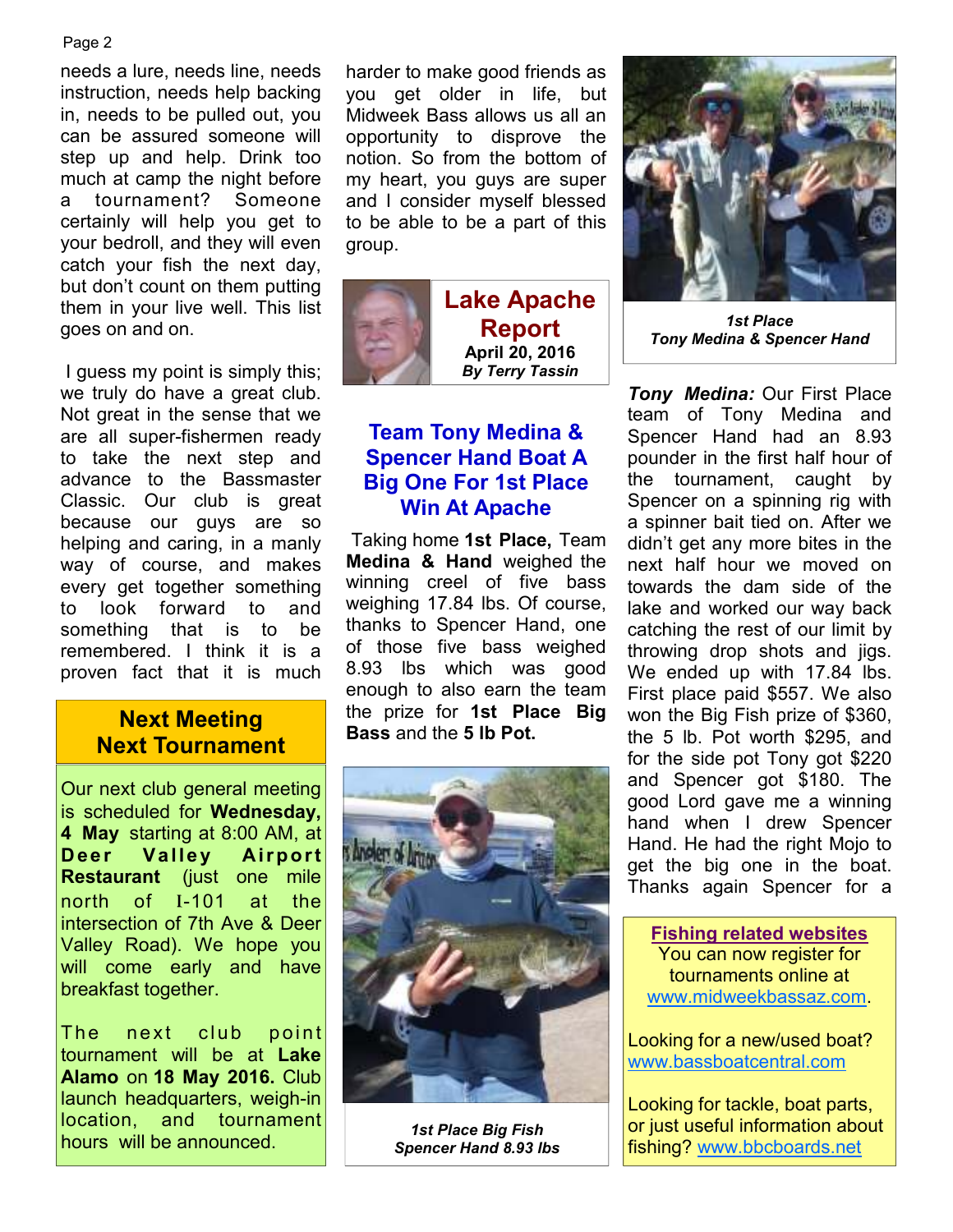#### Page 2

needs a lure, needs line, needs instruction, needs help backing in, needs to be pulled out, you can be assured someone will step up and help. Drink too much at camp the night before a tournament? Someone certainly will help you get to your bedroll, and they will even catch your fish the next day, but don't count on them putting them in your live well. This list goes on and on.

 I guess my point is simply this; we truly do have a great club. Not great in the sense that we are all super-fishermen ready to take the next step and advance to the Bassmaster Classic. Our club is great because our guys are so helping and caring, in a manly way of course, and makes every get together something to look forward to and something that is to be remembered. I think it is a proven fact that it is much

# **Next Tournament**

Our next club general meeting is scheduled for **Wednesday, 4 May** starting at 8:00 AM, at **Deer Valley Airport Restaurant** (just one mile north of I-101 at the intersection of 7th Ave & Deer Valley Road). We hope you will come early and have breakfast together.

The next club point tournament will be at **Lake Alamo** on **18 May 2016.** Club launch headquarters, weigh-in location, and tournament hours will be announced.

harder to make good friends as you get older in life, but Midweek Bass allows us all an opportunity to disprove the notion. So from the bottom of my heart, you guys are super and I consider myself blessed to be able to be a part of this group.



**Lake Apache Report April 20, 2016**  *By Terry Tassin* 

### **Team Tony Medina & Spencer Hand Boat A Big One For 1st Place Win At Apache**

 Taking home **1st Place,** Team **Medina & Hand** weighed the winning creel of five bass weighing 17.84 lbs. Of course, thanks to Spencer Hand, one of those five bass weighed 8.93 lbs which was good enough to also earn the team the prize for **1st Place Big Bass** and the **Bass** and the 5 lb Pot.



*1st Place Big Fish Spencer Hand 8.93 lbs* 



*1st Place Tony Medina & Spencer Hand* 

*Tony Medina:* Our First Place team of Tony Medina and Spencer Hand had an 8.93 pounder in the first half hour of the tournament, caught by Spencer on a spinning rig with a spinner bait tied on. After we didn't get any more bites in the next half hour we moved on towards the dam side of the lake and worked our way back catching the rest of our limit by throwing drop shots and jigs. We ended up with 17.84 lbs. First place paid \$557. We also won the Big Fish prize of \$360, the 5 lb. Pot worth \$295, and for the side pot Tony got \$220 and Spencer got \$180. The good Lord gave me a winning hand when I drew Spencer Hand. He had the right Mojo to get the big one in the boat. Thanks again Spencer for a

**Fishing related websites** You can now register for tournaments online at www.midweekbassaz.com.

Looking for a new/used boat? www.bassboatcentral.com

Looking for tackle, boat parts, or just useful information about fishing? www.bbcboards.net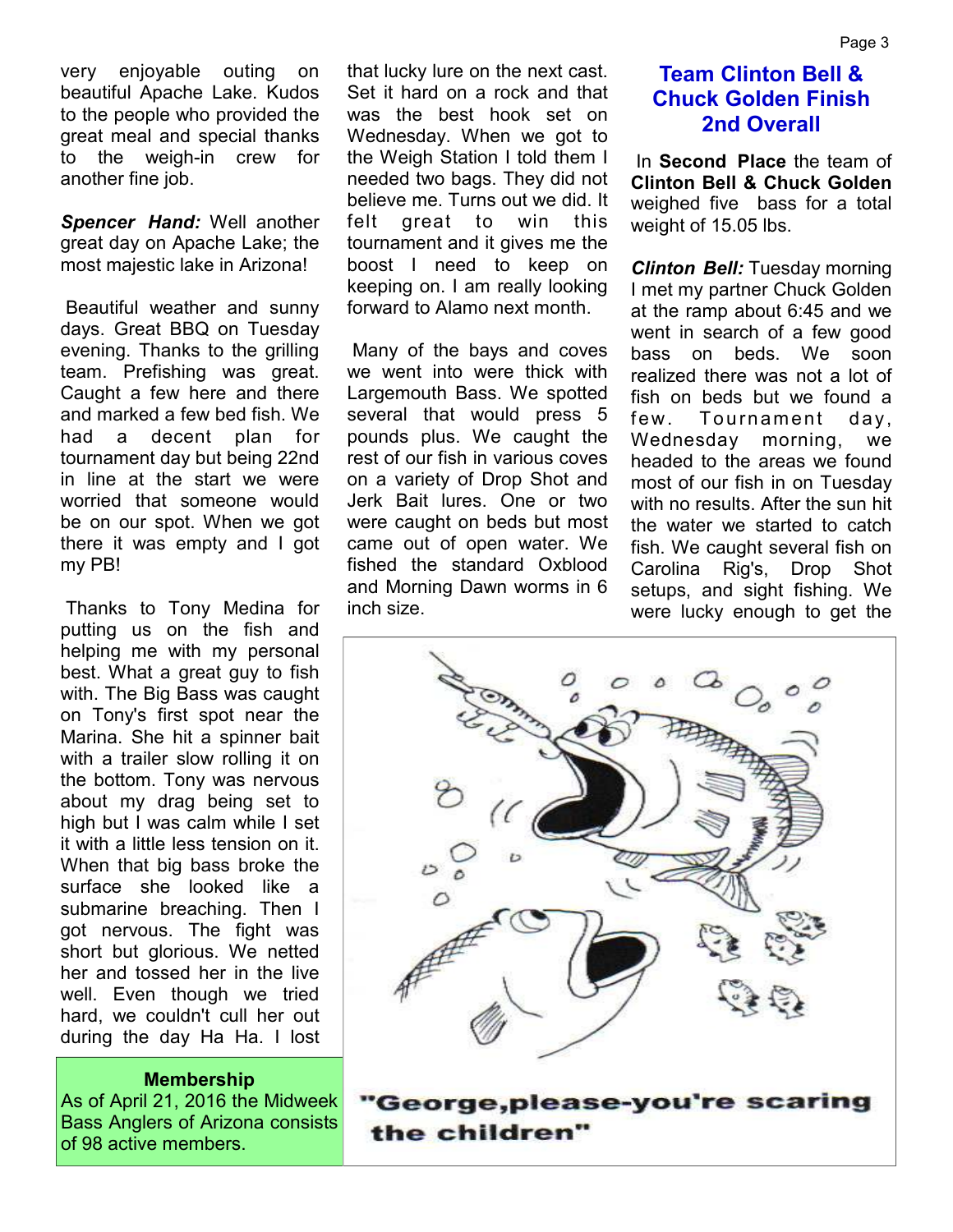*Spencer Hand:* Well another great day on Apache Lake; the most majestic lake in Arizona!

 Beautiful weather and sunny days. Great BBQ on Tuesday evening. Thanks to the grilling team. Prefishing was great. Caught a few here and there and marked a few bed fish. We had a decent plan for tournament day but being 22nd in line at the start we were worried that someone would be on our spot. When we got there it was empty and I got my PB!

 Thanks to Tony Medina for putting us on the fish and helping me with my personal best. What a great guy to fish with. The Big Bass was caught on Tony's first spot near the Marina. She hit a spinner bait with a trailer slow rolling it on the bottom. Tony was nervous about my drag being set to high but I was calm while I set it with a little less tension on it. When that big bass broke the surface she looked like a submarine breaching. Then I got nervous. The fight was short but glorious. We netted her and tossed her in the live well. Even though we tried hard, we couldn't cull her out during the day Ha Ha. I lost

**Membership**

As of April 21, 2016 the Midweek Bass Anglers of Arizona consists of 98 active members.

that lucky lure on the next cast. Set it hard on a rock and that was the best hook set on Wednesday. When we got to the Weigh Station I told them I needed two bags. They did not believe me. Turns out we did. It felt great to win this tournament and it gives me the boost I need to keep on keeping on. I am really looking forward to Alamo next month.

 Many of the bays and coves we went into were thick with Largemouth Bass. We spotted several that would press 5 pounds plus. We caught the rest of our fish in various coves on a variety of Drop Shot and Jerk Bait lures. One or two were caught on beds but most came out of open water. We fished the standard Oxblood and Morning Dawn worms in 6 inch size.

## **Team Clinton Bell & Chuck Golden Finish 2nd Overall**

 In **Second Place** the team of **Clinton Bell & Chuck Golden**  weighed five bass for a total weight of 15.05 lbs.

*Clinton Bell:* Tuesday morning I met my partner Chuck Golden at the ramp about 6:45 and we went in search of a few good bass on beds. We soon realized there was not a lot of fish on beds but we found a few. Tournament day, Wednesday morning, we headed to the areas we found most of our fish in on Tuesday with no results. After the sun hit the water we started to catch fish. We caught several fish on Carolina Rig's, Drop Shot setups, and sight fishing. We were lucky enough to get the



the children"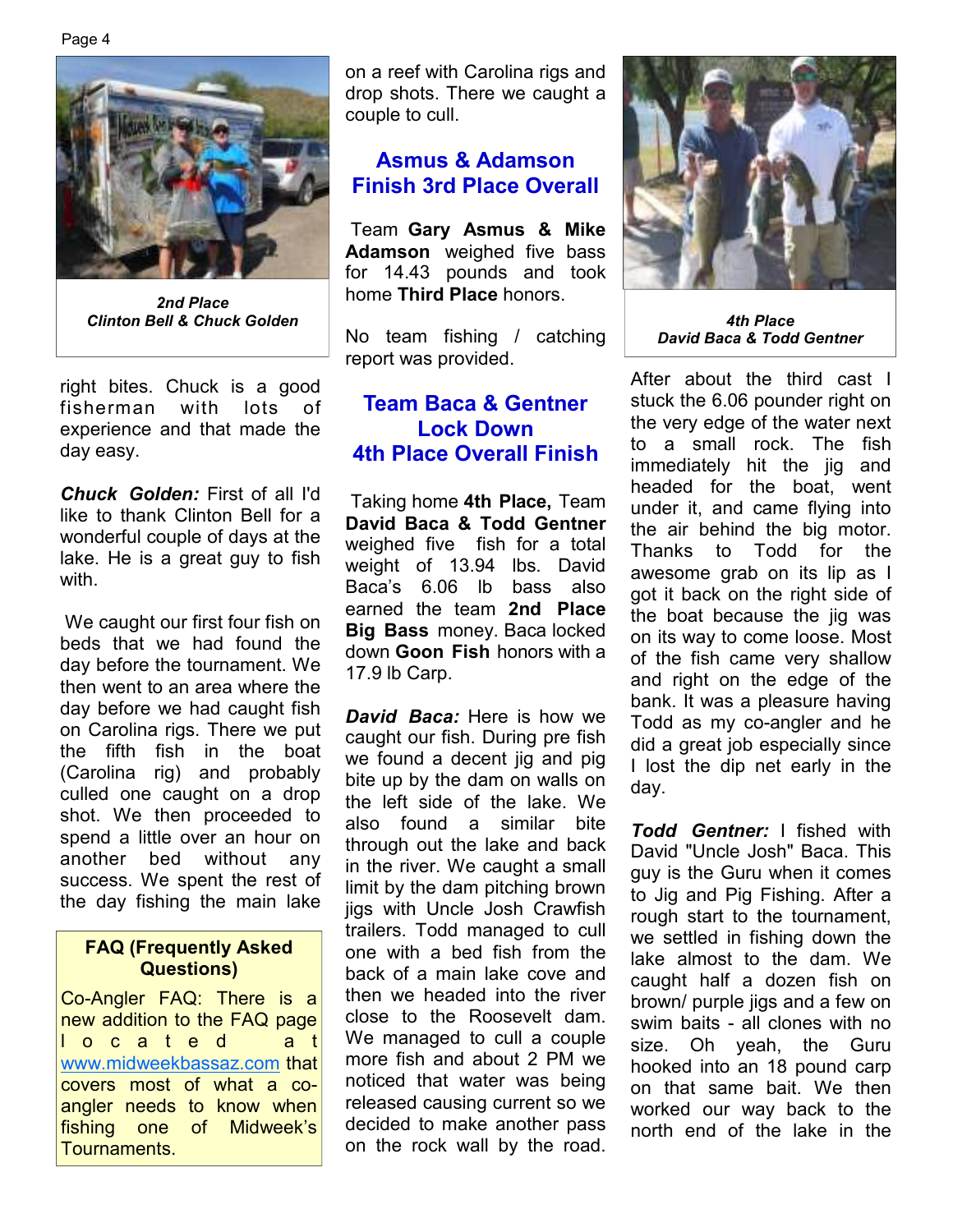

*2nd Place Clinton Bell & Chuck Golden 4th Place* 

right bites. Chuck is a good fisherman with lots of experience and that made the day easy.

*Chuck Golden:* First of all I'd like to thank Clinton Bell for a wonderful couple of days at the lake. He is a great guy to fish with.

 We caught our first four fish on beds that we had found the day before the tournament. We then went to an area where the day before we had caught fish on Carolina rigs. There we put the fifth fish in the boat (Carolina rig) and probably culled one caught on a drop shot. We then proceeded to spend a little over an hour on another bed without any success. We spent the rest of the day fishing the main lake

#### **FAQ (Frequently Asked Questions)**

Co-Angler FAQ: There is a new addition to the FAQ page l o c a t e d a t www.midweekbassaz.com that covers most of what a coangler needs to know when fishing one of Midweek's Tournaments.

on a reef with Carolina rigs and drop shots. There we caught a couple to cull.

#### **Asmus & Adamson Finish 3rd Place Overall**

 Team **Gary Asmus & Mike Adamson** weighed five bass for 14.43 pounds and took home **Third Place** honors.

No team fishing / catching report was provided.

### **Team Baca & Gentner Lock Down 4th Place Overall Finish**

 Taking home **4th Place,** Team **David Baca & Todd Gentner**  weighed five fish for a total weight of 13.94 lbs. David Baca's 6.06 lb bass also earned the team **2nd Place Big Bass** money. Baca locked down **Goon Fish** honors with a 17.9 lb Carp.

*David Baca:* Here is how we caught our fish. During pre fish we found a decent jig and pig bite up by the dam on walls on the left side of the lake. We also found a similar bite through out the lake and back in the river. We caught a small limit by the dam pitching brown jigs with Uncle Josh Crawfish trailers. Todd managed to cull one with a bed fish from the back of a main lake cove and then we headed into the river close to the Roosevelt dam. We managed to cull a couple more fish and about 2 PM we noticed that water was being released causing current so we decided to make another pass on the rock wall by the road.



*David Baca & Todd Gentner* 

After about the third cast I stuck the 6.06 pounder right on the very edge of the water next to a small rock. The fish immediately hit the jig and headed for the boat, went under it, and came flying into the air behind the big motor. Thanks to Todd for the awesome grab on its lip as I got it back on the right side of the boat because the jig was on its way to come loose. Most of the fish came very shallow and right on the edge of the bank. It was a pleasure having Todd as my co-angler and he did a great job especially since I lost the dip net early in the day.

*Todd Gentner:* I fished with David "Uncle Josh" Baca. This guy is the Guru when it comes to Jig and Pig Fishing. After a rough start to the tournament, we settled in fishing down the lake almost to the dam. We caught half a dozen fish on brown/ purple jigs and a few on swim baits - all clones with no size. Oh yeah, the Guru hooked into an 18 pound carp on that same bait. We then worked our way back to the north end of the lake in the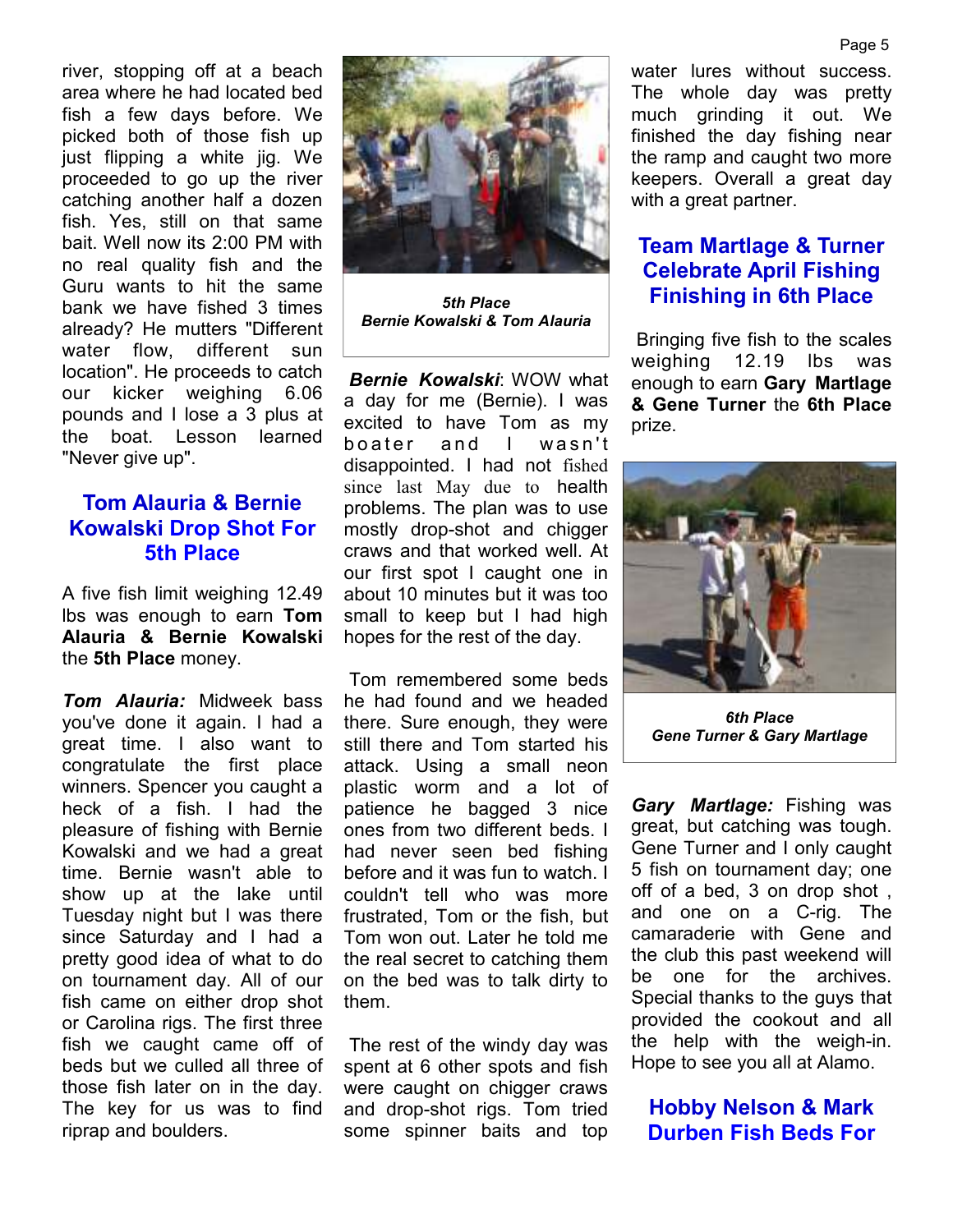river, stopping off at a beach area where he had located bed fish a few days before. We picked both of those fish up just flipping a white jig. We proceeded to go up the river catching another half a dozen fish. Yes, still on that same bait. Well now its 2:00 PM with no real quality fish and the Guru wants to hit the same bank we have fished 3 times already? He mutters "Different water flow, different sun location". He proceeds to catch our kicker weighing 6.06 pounds and I lose a 3 plus at the boat. Lesson learned "Never give up".

### **Tom Alauria & Bernie Kowalski Drop Shot For 5th Place**

A five fish limit weighing 12.49 lbs was enough to earn **Tom Alauria & Bernie Kowalski** the **5th Place** money.

*Tom Alauria:* Midweek bass you've done it again. I had a great time. I also want to congratulate the first place winners. Spencer you caught a heck of a fish. I had the pleasure of fishing with Bernie Kowalski and we had a great time. Bernie wasn't able to show up at the lake until Tuesday night but I was there since Saturday and I had a pretty good idea of what to do on tournament day. All of our fish came on either drop shot or Carolina rigs. The first three fish we caught came off of beds but we culled all three of those fish later on in the day. The key for us was to find riprap and boulders.



*5th Place Bernie Kowalski & Tom Alauria* 

*Bernie Kowalski*: WOW what a day for me (Bernie). I was excited to have Tom as my boater and I wasn't disappointed. I had not fished since last May due to health problems. The plan was to use mostly drop-shot and chigger craws and that worked well. At our first spot I caught one in about 10 minutes but it was too small to keep but I had high hopes for the rest of the day.

 Tom remembered some beds he had found and we headed there. Sure enough, they were still there and Tom started his attack. Using a small neon plastic worm and a lot of patience he bagged 3 nice ones from two different beds. I had never seen bed fishing before and it was fun to watch. I couldn't tell who was more frustrated, Tom or the fish, but Tom won out. Later he told me the real secret to catching them on the bed was to talk dirty to them.

 The rest of the windy day was spent at 6 other spots and fish were caught on chigger craws and drop-shot rigs. Tom tried some spinner baits and top water lures without success. The whole day was pretty much grinding it out. We finished the day fishing near the ramp and caught two more keepers. Overall a great day with a great partner.

## **Team Martlage & Turner Celebrate April Fishing Finishing in 6th Place**

 Bringing five fish to the scales weighing 12.19 lbs was enough to earn **Gary Martlage & Gene Turner** the **6th Place**  prize.



*6th Place Gene Turner & Gary Martlage* 

*Gary Martlage:* Fishing was great, but catching was tough. Gene Turner and I only caught 5 fish on tournament day; one off of a bed, 3 on drop shot , and one on a C-rig. The camaraderie with Gene and the club this past weekend will be one for the archives. Special thanks to the guys that provided the cookout and all the help with the weigh-in. Hope to see you all at Alamo.

#### **Hobby Nelson & Mark Durben Fish Beds For**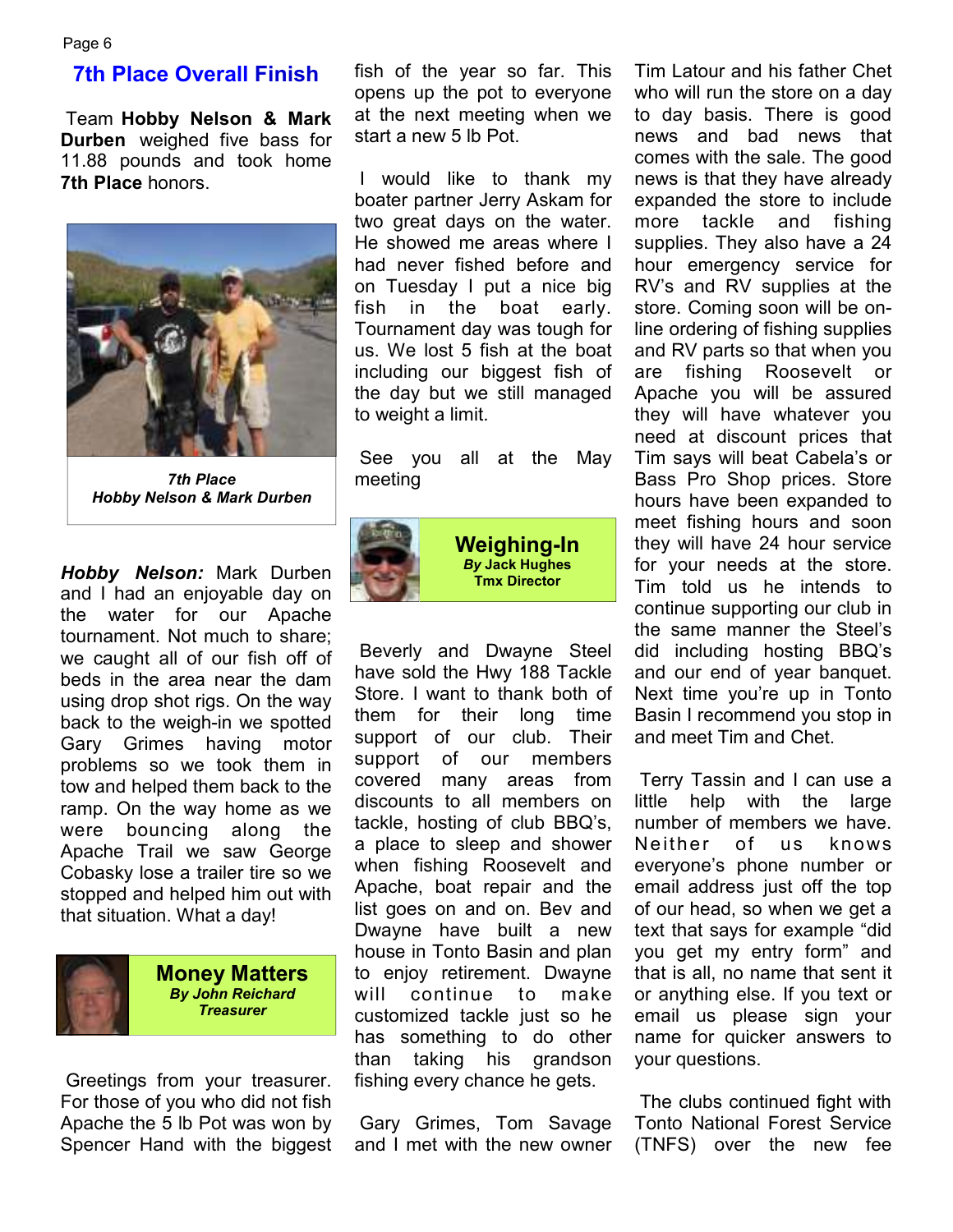#### **7th Place Overall Finish**

 Team **Hobby Nelson & Mark Durben** weighed five bass for 11.88 pounds and took home **7th Place** honors.



*7th Place Hobby Nelson & Mark Durben* 

*Hobby Nelson:* Mark Durben and I had an enjoyable day on the water for our Apache tournament. Not much to share; we caught all of our fish off of beds in the area near the dam using drop shot rigs. On the way back to the weigh-in we spotted Gary Grimes having motor problems so we took them in tow and helped them back to the ramp. On the way home as we were bouncing along the Apache Trail we saw George Cobasky lose a trailer tire so we stopped and helped him out with that situation. What a day!



 Greetings from your treasurer. For those of you who did not fish Apache the 5 lb Pot was won by Spencer Hand with the biggest fish of the year so far. This opens up the pot to everyone at the next meeting when we start a new 5 lb Pot.

 I would like to thank my boater partner Jerry Askam for two great days on the water. He showed me areas where I had never fished before and on Tuesday I put a nice big fish in the boat early. Tournament day was tough for us. We lost 5 fish at the boat including our biggest fish of the day but we still managed to weight a limit.

 See you all at the May meeting



**Weighing-In**  *By* **Jack Hughes Tmx Director**

 Beverly and Dwayne Steel have sold the Hwy 188 Tackle Store. I want to thank both of them for their long time support of our club. Their support of our members covered many areas from discounts to all members on tackle, hosting of club BBQ's, a place to sleep and shower when fishing Roosevelt and Apache, boat repair and the list goes on and on. Bev and Dwayne have built a new house in Tonto Basin and plan to enjoy retirement. Dwayne will continue to make customized tackle just so he has something to do other than taking his grandson fishing every chance he gets.

 Gary Grimes, Tom Savage and I met with the new owner

Tim Latour and his father Chet who will run the store on a day to day basis. There is good news and bad news that comes with the sale. The good news is that they have already expanded the store to include more tackle and fishing supplies. They also have a 24 hour emergency service for RV's and RV supplies at the store. Coming soon will be online ordering of fishing supplies and RV parts so that when you are fishing Roosevelt or Apache you will be assured they will have whatever you need at discount prices that Tim says will beat Cabela's or Bass Pro Shop prices. Store hours have been expanded to meet fishing hours and soon they will have 24 hour service for your needs at the store. Tim told us he intends to continue supporting our club in the same manner the Steel's did including hosting BBQ's and our end of year banquet. Next time you're up in Tonto Basin I recommend you stop in and meet Tim and Chet.

 Terry Tassin and I can use a little help with the large number of members we have. Neither of us knows everyone's phone number or email address just off the top of our head, so when we get a text that says for example "did you get my entry form" and that is all, no name that sent it or anything else. If you text or email us please sign your name for quicker answers to your questions.

 The clubs continued fight with Tonto National Forest Service (TNFS) over the new fee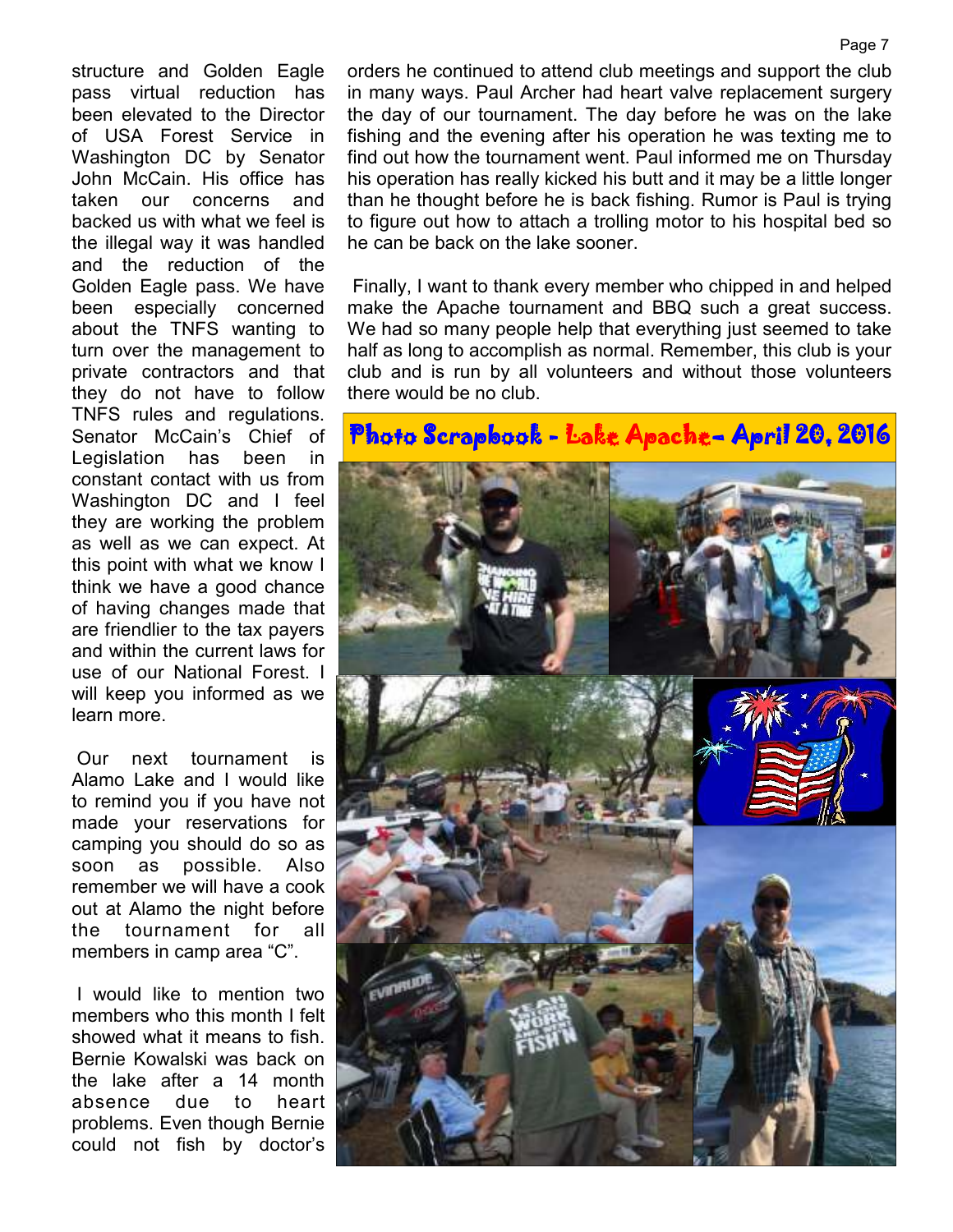structure and Golden Eagle pass virtual reduction has been elevated to the Director of USA Forest Service in Washington DC by Senator John McCain. His office has taken our concerns and backed us with what we feel is the illegal way it was handled and the reduction of the Golden Eagle pass. We have been especially concerned about the TNFS wanting to turn over the management to private contractors and that they do not have to follow TNFS rules and regulations. Senator McCain's Chief of Legislation has been in constant contact with us from Washington DC and I feel they are working the problem as well as we can expect. At this point with what we know I think we have a good chance of having changes made that are friendlier to the tax payers and within the current laws for use of our National Forest. I will keep you informed as we learn more.

 Our next tournament is Alamo Lake and I would like to remind you if you have not made your reservations for camping you should do so as soon as possible. Also remember we will have a cook out at Alamo the night before the tournament for all members in camp area "C".

 I would like to mention two members who this month I felt showed what it means to fish. Bernie Kowalski was back on the lake after a 14 month absence due to heart problems. Even though Bernie could not fish by doctor's

orders he continued to attend club meetings and support the club in many ways. Paul Archer had heart valve replacement surgery the day of our tournament. The day before he was on the lake fishing and the evening after his operation he was texting me to find out how the tournament went. Paul informed me on Thursday his operation has really kicked his butt and it may be a little longer than he thought before he is back fishing. Rumor is Paul is trying to figure out how to attach a trolling motor to his hospital bed so he can be back on the lake sooner.

 Finally, I want to thank every member who chipped in and helped make the Apache tournament and BBQ such a great success. We had so many people help that everything just seemed to take half as long to accomplish as normal. Remember, this club is your club and is run by all volunteers and without those volunteers there would be no club.